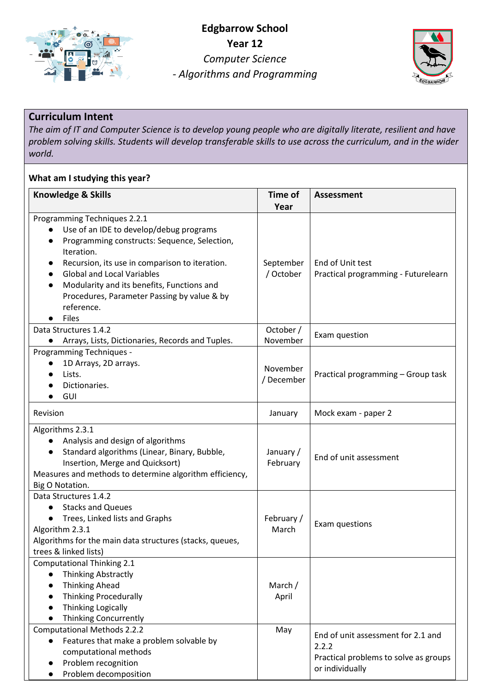



## **Curriculum Intent**

*The aim of IT and Computer Science is to develop young people who are digitally literate, resilient and have problem solving skills. Students will develop transferable skills to use across the curriculum, and in the wider world.*

## **What am I studying this year?**

| Knowledge & Skills                                            | <b>Time of</b> | <b>Assessment</b>                     |  |  |
|---------------------------------------------------------------|----------------|---------------------------------------|--|--|
|                                                               | Year           |                                       |  |  |
| Programming Techniques 2.2.1                                  |                |                                       |  |  |
| Use of an IDE to develop/debug programs                       |                |                                       |  |  |
| Programming constructs: Sequence, Selection,                  |                |                                       |  |  |
| Iteration.                                                    |                |                                       |  |  |
| Recursion, its use in comparison to iteration.                | September      | End of Unit test                      |  |  |
| <b>Global and Local Variables</b>                             | / October      | Practical programming - Futurelearn   |  |  |
| Modularity and its benefits, Functions and                    |                |                                       |  |  |
| Procedures, Parameter Passing by value & by                   |                |                                       |  |  |
| reference.                                                    |                |                                       |  |  |
| <b>Files</b>                                                  |                |                                       |  |  |
| Data Structures 1.4.2                                         | October /      | Exam question                         |  |  |
| Arrays, Lists, Dictionaries, Records and Tuples.<br>$\bullet$ | November       |                                       |  |  |
| Programming Techniques -                                      |                |                                       |  |  |
| 1D Arrays, 2D arrays.<br>$\bullet$                            | November       |                                       |  |  |
| Lists.                                                        | / December     | Practical programming - Group task    |  |  |
| Dictionaries.                                                 |                |                                       |  |  |
| GUI                                                           |                |                                       |  |  |
| Revision                                                      | January        | Mock exam - paper 2                   |  |  |
| Algorithms 2.3.1                                              |                |                                       |  |  |
| Analysis and design of algorithms                             |                |                                       |  |  |
| Standard algorithms (Linear, Binary, Bubble,<br>$\bullet$     | January /      | End of unit assessment                |  |  |
| Insertion, Merge and Quicksort)                               | February       |                                       |  |  |
| Measures and methods to determine algorithm efficiency,       |                |                                       |  |  |
| Big O Notation.                                               |                |                                       |  |  |
| Data Structures 1.4.2                                         |                |                                       |  |  |
| <b>Stacks and Queues</b>                                      |                |                                       |  |  |
| Trees, Linked lists and Graphs                                | February /     | Exam questions                        |  |  |
| Algorithm 2.3.1                                               | March          |                                       |  |  |
| Algorithms for the main data structures (stacks, queues,      |                |                                       |  |  |
| trees & linked lists)                                         |                |                                       |  |  |
| <b>Computational Thinking 2.1</b>                             |                |                                       |  |  |
| <b>Thinking Abstractly</b>                                    |                |                                       |  |  |
| <b>Thinking Ahead</b>                                         | March /        |                                       |  |  |
| <b>Thinking Procedurally</b>                                  | April          |                                       |  |  |
| <b>Thinking Logically</b>                                     |                |                                       |  |  |
| <b>Thinking Concurrently</b>                                  |                |                                       |  |  |
| <b>Computational Methods 2.2.2</b>                            | May            | End of unit assessment for 2.1 and    |  |  |
| Features that make a problem solvable by                      |                | 2.2.2                                 |  |  |
| computational methods                                         |                | Practical problems to solve as groups |  |  |
| Problem recognition                                           |                | or individually                       |  |  |
| Problem decomposition                                         |                |                                       |  |  |